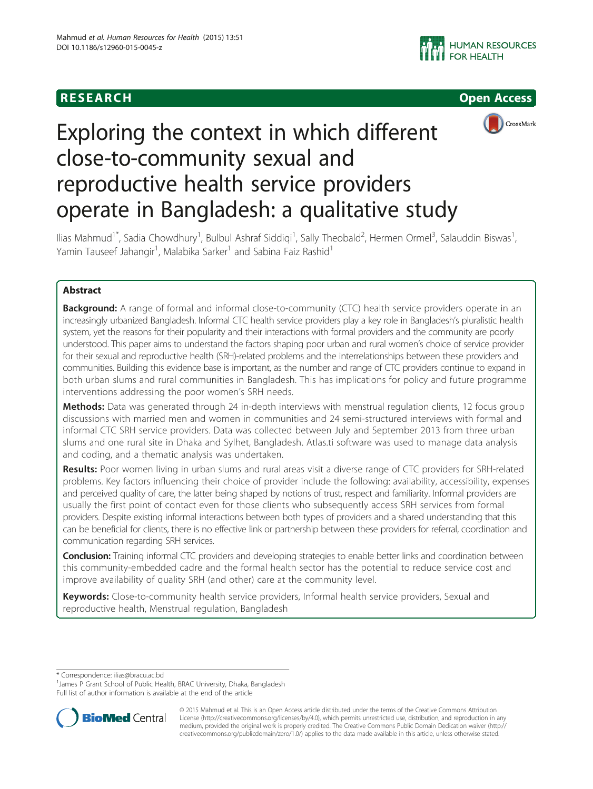





# Exploring the context in which different close-to-community sexual and reproductive health service providers operate in Bangladesh: a qualitative study

Ilias Mahmud<sup>1\*</sup>, Sadia Chowdhury<sup>1</sup>, Bulbul Ashraf Siddiqi<sup>1</sup>, Sally Theobald<sup>2</sup>, Hermen Ormel<sup>3</sup>, Salauddin Biswas<sup>1</sup> , Yamin Tauseef Jahangir<sup>1</sup>, Malabika Sarker<sup>1</sup> and Sabina Faiz Rashid<sup>1</sup>

# Abstract

Background: A range of formal and informal close-to-community (CTC) health service providers operate in an increasingly urbanized Bangladesh. Informal CTC health service providers play a key role in Bangladesh's pluralistic health system, yet the reasons for their popularity and their interactions with formal providers and the community are poorly understood. This paper aims to understand the factors shaping poor urban and rural women's choice of service provider for their sexual and reproductive health (SRH)-related problems and the interrelationships between these providers and communities. Building this evidence base is important, as the number and range of CTC providers continue to expand in both urban slums and rural communities in Bangladesh. This has implications for policy and future programme interventions addressing the poor women's SRH needs.

Methods: Data was generated through 24 in-depth interviews with menstrual regulation clients, 12 focus group discussions with married men and women in communities and 24 semi-structured interviews with formal and informal CTC SRH service providers. Data was collected between July and September 2013 from three urban slums and one rural site in Dhaka and Sylhet, Bangladesh. Atlas.ti software was used to manage data analysis and coding, and a thematic analysis was undertaken.

Results: Poor women living in urban slums and rural areas visit a diverse range of CTC providers for SRH-related problems. Key factors influencing their choice of provider include the following: availability, accessibility, expenses and perceived quality of care, the latter being shaped by notions of trust, respect and familiarity. Informal providers are usually the first point of contact even for those clients who subsequently access SRH services from formal providers. Despite existing informal interactions between both types of providers and a shared understanding that this can be beneficial for clients, there is no effective link or partnership between these providers for referral, coordination and communication regarding SRH services.

**Conclusion:** Training informal CTC providers and developing strategies to enable better links and coordination between this community-embedded cadre and the formal health sector has the potential to reduce service cost and improve availability of quality SRH (and other) care at the community level.

Keywords: Close-to-community health service providers, Informal health service providers, Sexual and reproductive health, Menstrual regulation, Bangladesh

\* Correspondence: [ilias@bracu.ac.bd](mailto:ilias@bracu.ac.bd) <sup>1</sup>

<sup>1</sup> James P Grant School of Public Health, BRAC University, Dhaka, Bangladesh Full list of author information is available at the end of the article



<sup>© 2015</sup> Mahmud et al. This is an Open Access article distributed under the terms of the Creative Commons Attribution License (<http://creativecommons.org/licenses/by/4.0>), which permits unrestricted use, distribution, and reproduction in any medium, provided the original work is properly credited. The Creative Commons Public Domain Dedication waiver [\(http://](http://creativecommons.org/publicdomain/zero/1.0/) [creativecommons.org/publicdomain/zero/1.0/\)](http://creativecommons.org/publicdomain/zero/1.0/) applies to the data made available in this article, unless otherwise stated.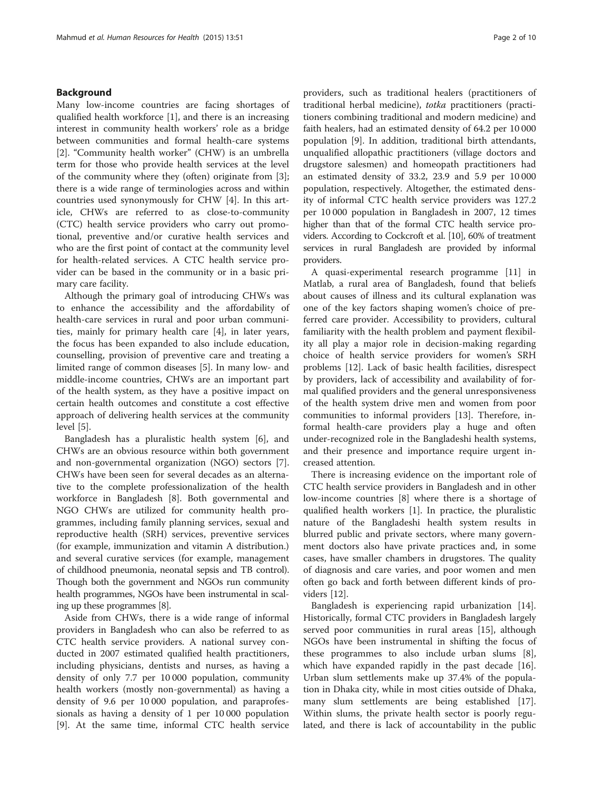#### Background

Many low-income countries are facing shortages of qualified health workforce [[1\]](#page-9-0), and there is an increasing interest in community health workers' role as a bridge between communities and formal health-care systems [[2\]](#page-9-0). "Community health worker" (CHW) is an umbrella term for those who provide health services at the level of the community where they (often) originate from [\[3](#page-9-0)]; there is a wide range of terminologies across and within countries used synonymously for CHW [\[4](#page-9-0)]. In this article, CHWs are referred to as close-to-community (CTC) health service providers who carry out promotional, preventive and/or curative health services and who are the first point of contact at the community level for health-related services. A CTC health service provider can be based in the community or in a basic primary care facility.

Although the primary goal of introducing CHWs was to enhance the accessibility and the affordability of health-care services in rural and poor urban communities, mainly for primary health care [\[4](#page-9-0)], in later years, the focus has been expanded to also include education, counselling, provision of preventive care and treating a limited range of common diseases [[5](#page-9-0)]. In many low- and middle-income countries, CHWs are an important part of the health system, as they have a positive impact on certain health outcomes and constitute a cost effective approach of delivering health services at the community level [\[5](#page-9-0)].

Bangladesh has a pluralistic health system [[6](#page-9-0)], and CHWs are an obvious resource within both government and non-governmental organization (NGO) sectors [\[7](#page-9-0)]. CHWs have been seen for several decades as an alternative to the complete professionalization of the health workforce in Bangladesh [\[8](#page-9-0)]. Both governmental and NGO CHWs are utilized for community health programmes, including family planning services, sexual and reproductive health (SRH) services, preventive services (for example, immunization and vitamin A distribution.) and several curative services (for example, management of childhood pneumonia, neonatal sepsis and TB control). Though both the government and NGOs run community health programmes, NGOs have been instrumental in scaling up these programmes [\[8\]](#page-9-0).

Aside from CHWs, there is a wide range of informal providers in Bangladesh who can also be referred to as CTC health service providers. A national survey conducted in 2007 estimated qualified health practitioners, including physicians, dentists and nurses, as having a density of only 7.7 per 10 000 population, community health workers (mostly non-governmental) as having a density of 9.6 per 10 000 population, and paraprofessionals as having a density of 1 per 10 000 population [[9\]](#page-9-0). At the same time, informal CTC health service providers, such as traditional healers (practitioners of traditional herbal medicine), totka practitioners (practitioners combining traditional and modern medicine) and faith healers, had an estimated density of 64.2 per 10 000 population [\[9\]](#page-9-0). In addition, traditional birth attendants, unqualified allopathic practitioners (village doctors and drugstore salesmen) and homeopath practitioners had an estimated density of 33.2, 23.9 and 5.9 per 10 000 population, respectively. Altogether, the estimated density of informal CTC health service providers was 127.2 per 10 000 population in Bangladesh in 2007, 12 times higher than that of the formal CTC health service providers. According to Cockcroft et al. [\[10\]](#page-9-0), 60% of treatment services in rural Bangladesh are provided by informal providers.

A quasi-experimental research programme [[11](#page-9-0)] in Matlab, a rural area of Bangladesh, found that beliefs about causes of illness and its cultural explanation was one of the key factors shaping women's choice of preferred care provider. Accessibility to providers, cultural familiarity with the health problem and payment flexibility all play a major role in decision-making regarding choice of health service providers for women's SRH problems [[12\]](#page-9-0). Lack of basic health facilities, disrespect by providers, lack of accessibility and availability of formal qualified providers and the general unresponsiveness of the health system drive men and women from poor communities to informal providers [\[13](#page-9-0)]. Therefore, informal health-care providers play a huge and often under-recognized role in the Bangladeshi health systems, and their presence and importance require urgent increased attention.

There is increasing evidence on the important role of CTC health service providers in Bangladesh and in other low-income countries [\[8](#page-9-0)] where there is a shortage of qualified health workers [\[1](#page-9-0)]. In practice, the pluralistic nature of the Bangladeshi health system results in blurred public and private sectors, where many government doctors also have private practices and, in some cases, have smaller chambers in drugstores. The quality of diagnosis and care varies, and poor women and men often go back and forth between different kinds of providers [[12\]](#page-9-0).

Bangladesh is experiencing rapid urbanization [\[14](#page-9-0)]. Historically, formal CTC providers in Bangladesh largely served poor communities in rural areas [[15\]](#page-9-0), although NGOs have been instrumental in shifting the focus of these programmes to also include urban slums [\[8](#page-9-0)], which have expanded rapidly in the past decade [\[16](#page-9-0)]. Urban slum settlements make up 37.4% of the population in Dhaka city, while in most cities outside of Dhaka, many slum settlements are being established [\[17](#page-9-0)]. Within slums, the private health sector is poorly regulated, and there is lack of accountability in the public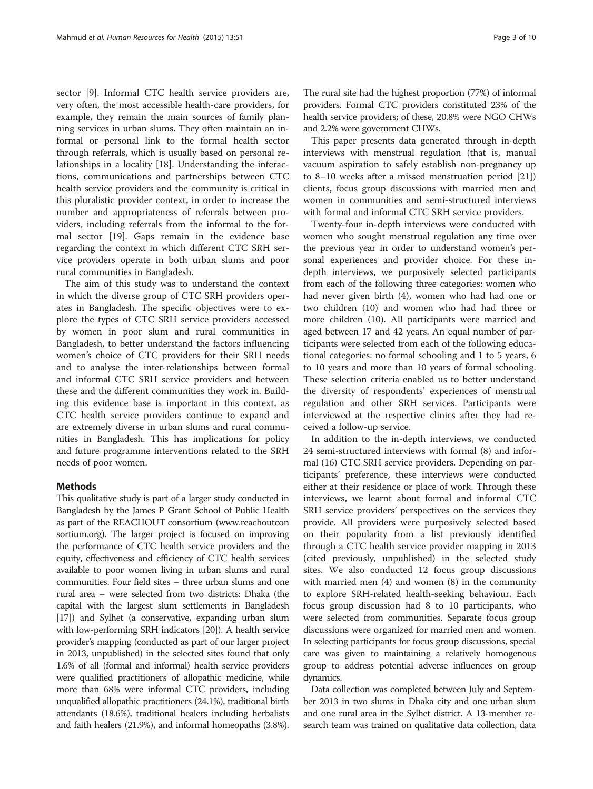sector [\[9](#page-9-0)]. Informal CTC health service providers are, very often, the most accessible health-care providers, for example, they remain the main sources of family planning services in urban slums. They often maintain an informal or personal link to the formal health sector through referrals, which is usually based on personal relationships in a locality [[18\]](#page-9-0). Understanding the interactions, communications and partnerships between CTC health service providers and the community is critical in this pluralistic provider context, in order to increase the number and appropriateness of referrals between providers, including referrals from the informal to the formal sector [[19\]](#page-9-0). Gaps remain in the evidence base regarding the context in which different CTC SRH service providers operate in both urban slums and poor rural communities in Bangladesh.

The aim of this study was to understand the context in which the diverse group of CTC SRH providers operates in Bangladesh. The specific objectives were to explore the types of CTC SRH service providers accessed by women in poor slum and rural communities in Bangladesh, to better understand the factors influencing women's choice of CTC providers for their SRH needs and to analyse the inter-relationships between formal and informal CTC SRH service providers and between these and the different communities they work in. Building this evidence base is important in this context, as CTC health service providers continue to expand and are extremely diverse in urban slums and rural communities in Bangladesh. This has implications for policy and future programme interventions related to the SRH needs of poor women.

## Methods

This qualitative study is part of a larger study conducted in Bangladesh by the James P Grant School of Public Health as part of the REACHOUT consortium ([www.reachoutcon](http://www.reachoutconsortium.org) [sortium.org](http://www.reachoutconsortium.org)). The larger project is focused on improving the performance of CTC health service providers and the equity, effectiveness and efficiency of CTC health services available to poor women living in urban slums and rural communities. Four field sites – three urban slums and one rural area – were selected from two districts: Dhaka (the capital with the largest slum settlements in Bangladesh [[17](#page-9-0)]) and Sylhet (a conservative, expanding urban slum with low-performing SRH indicators [[20\]](#page-9-0)). A health service provider's mapping (conducted as part of our larger project in 2013, unpublished) in the selected sites found that only 1.6% of all (formal and informal) health service providers were qualified practitioners of allopathic medicine, while more than 68% were informal CTC providers, including unqualified allopathic practitioners (24.1%), traditional birth attendants (18.6%), traditional healers including herbalists and faith healers (21.9%), and informal homeopaths (3.8%).

The rural site had the highest proportion (77%) of informal providers. Formal CTC providers constituted 23% of the health service providers; of these, 20.8% were NGO CHWs and 2.2% were government CHWs.

This paper presents data generated through in-depth interviews with menstrual regulation (that is, manual vacuum aspiration to safely establish non-pregnancy up to 8–10 weeks after a missed menstruation period [\[21](#page-9-0)]) clients, focus group discussions with married men and women in communities and semi-structured interviews with formal and informal CTC SRH service providers.

Twenty-four in-depth interviews were conducted with women who sought menstrual regulation any time over the previous year in order to understand women's personal experiences and provider choice. For these indepth interviews, we purposively selected participants from each of the following three categories: women who had never given birth (4), women who had had one or two children (10) and women who had had three or more children (10). All participants were married and aged between 17 and 42 years. An equal number of participants were selected from each of the following educational categories: no formal schooling and 1 to 5 years, 6 to 10 years and more than 10 years of formal schooling. These selection criteria enabled us to better understand the diversity of respondents' experiences of menstrual regulation and other SRH services. Participants were interviewed at the respective clinics after they had received a follow-up service.

In addition to the in-depth interviews, we conducted 24 semi-structured interviews with formal (8) and informal (16) CTC SRH service providers. Depending on participants' preference, these interviews were conducted either at their residence or place of work. Through these interviews, we learnt about formal and informal CTC SRH service providers' perspectives on the services they provide. All providers were purposively selected based on their popularity from a list previously identified through a CTC health service provider mapping in 2013 (cited previously, unpublished) in the selected study sites. We also conducted 12 focus group discussions with married men (4) and women (8) in the community to explore SRH-related health-seeking behaviour. Each focus group discussion had 8 to 10 participants, who were selected from communities. Separate focus group discussions were organized for married men and women. In selecting participants for focus group discussions, special care was given to maintaining a relatively homogenous group to address potential adverse influences on group dynamics.

Data collection was completed between July and September 2013 in two slums in Dhaka city and one urban slum and one rural area in the Sylhet district. A 13-member research team was trained on qualitative data collection, data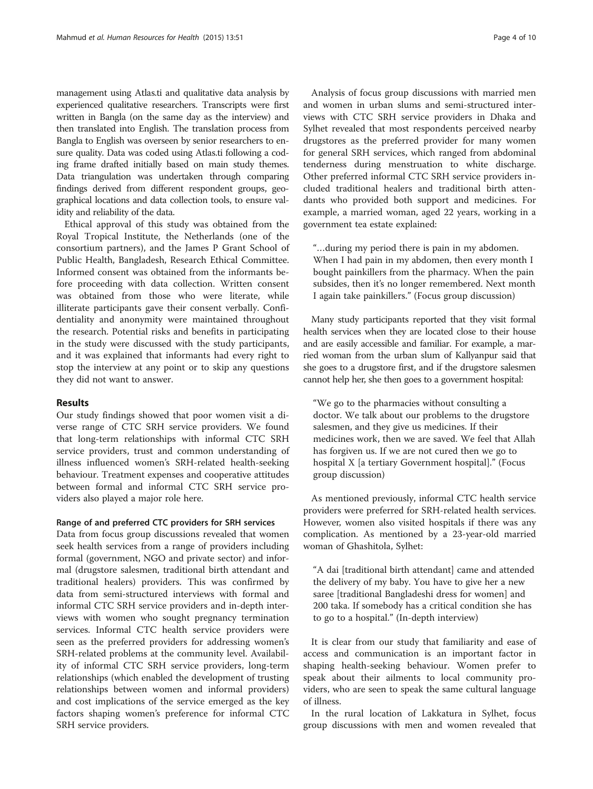management using Atlas.ti and qualitative data analysis by experienced qualitative researchers. Transcripts were first written in Bangla (on the same day as the interview) and then translated into English. The translation process from Bangla to English was overseen by senior researchers to ensure quality. Data was coded using Atlas.ti following a coding frame drafted initially based on main study themes. Data triangulation was undertaken through comparing findings derived from different respondent groups, geographical locations and data collection tools, to ensure validity and reliability of the data.

Ethical approval of this study was obtained from the Royal Tropical Institute, the Netherlands (one of the consortium partners), and the James P Grant School of Public Health, Bangladesh, Research Ethical Committee. Informed consent was obtained from the informants before proceeding with data collection. Written consent was obtained from those who were literate, while illiterate participants gave their consent verbally. Confidentiality and anonymity were maintained throughout the research. Potential risks and benefits in participating in the study were discussed with the study participants, and it was explained that informants had every right to stop the interview at any point or to skip any questions they did not want to answer.

#### Results

Our study findings showed that poor women visit a diverse range of CTC SRH service providers. We found that long-term relationships with informal CTC SRH service providers, trust and common understanding of illness influenced women's SRH-related health-seeking behaviour. Treatment expenses and cooperative attitudes between formal and informal CTC SRH service providers also played a major role here.

#### Range of and preferred CTC providers for SRH services

Data from focus group discussions revealed that women seek health services from a range of providers including formal (government, NGO and private sector) and informal (drugstore salesmen, traditional birth attendant and traditional healers) providers. This was confirmed by data from semi-structured interviews with formal and informal CTC SRH service providers and in-depth interviews with women who sought pregnancy termination services. Informal CTC health service providers were seen as the preferred providers for addressing women's SRH-related problems at the community level. Availability of informal CTC SRH service providers, long-term relationships (which enabled the development of trusting relationships between women and informal providers) and cost implications of the service emerged as the key factors shaping women's preference for informal CTC SRH service providers.

Analysis of focus group discussions with married men and women in urban slums and semi-structured interviews with CTC SRH service providers in Dhaka and Sylhet revealed that most respondents perceived nearby drugstores as the preferred provider for many women for general SRH services, which ranged from abdominal tenderness during menstruation to white discharge. Other preferred informal CTC SRH service providers included traditional healers and traditional birth attendants who provided both support and medicines. For example, a married woman, aged 22 years, working in a government tea estate explained:

"…during my period there is pain in my abdomen. When I had pain in my abdomen, then every month I bought painkillers from the pharmacy. When the pain subsides, then it's no longer remembered. Next month I again take painkillers." (Focus group discussion)

Many study participants reported that they visit formal health services when they are located close to their house and are easily accessible and familiar. For example, a married woman from the urban slum of Kallyanpur said that she goes to a drugstore first, and if the drugstore salesmen cannot help her, she then goes to a government hospital:

"We go to the pharmacies without consulting a doctor. We talk about our problems to the drugstore salesmen, and they give us medicines. If their medicines work, then we are saved. We feel that Allah has forgiven us. If we are not cured then we go to hospital X [a tertiary Government hospital]." (Focus group discussion)

As mentioned previously, informal CTC health service providers were preferred for SRH-related health services. However, women also visited hospitals if there was any complication. As mentioned by a 23-year-old married woman of Ghashitola, Sylhet:

"A dai [traditional birth attendant] came and attended the delivery of my baby. You have to give her a new saree [traditional Bangladeshi dress for women] and 200 taka. If somebody has a critical condition she has to go to a hospital." (In-depth interview)

It is clear from our study that familiarity and ease of access and communication is an important factor in shaping health-seeking behaviour. Women prefer to speak about their ailments to local community providers, who are seen to speak the same cultural language of illness.

In the rural location of Lakkatura in Sylhet, focus group discussions with men and women revealed that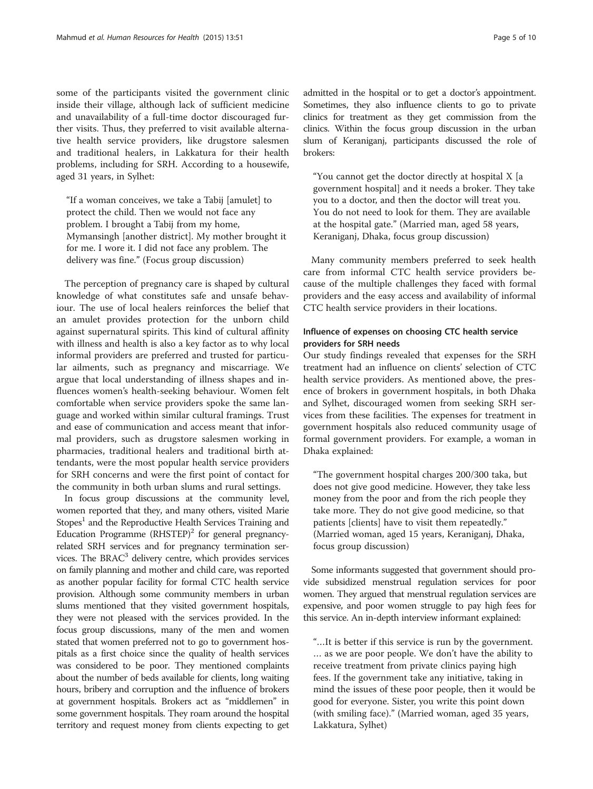some of the participants visited the government clinic inside their village, although lack of sufficient medicine and unavailability of a full-time doctor discouraged further visits. Thus, they preferred to visit available alternative health service providers, like drugstore salesmen and traditional healers, in Lakkatura for their health problems, including for SRH. According to a housewife, aged 31 years, in Sylhet:

"If a woman conceives, we take a Tabij [amulet] to protect the child. Then we would not face any problem. I brought a Tabij from my home, Mymansingh [another district]. My mother brought it for me. I wore it. I did not face any problem. The delivery was fine." (Focus group discussion)

The perception of pregnancy care is shaped by cultural knowledge of what constitutes safe and unsafe behaviour. The use of local healers reinforces the belief that an amulet provides protection for the unborn child against supernatural spirits. This kind of cultural affinity with illness and health is also a key factor as to why local informal providers are preferred and trusted for particular ailments, such as pregnancy and miscarriage. We argue that local understanding of illness shapes and influences women's health-seeking behaviour. Women felt comfortable when service providers spoke the same language and worked within similar cultural framings. Trust and ease of communication and access meant that informal providers, such as drugstore salesmen working in pharmacies, traditional healers and traditional birth attendants, were the most popular health service providers for SRH concerns and were the first point of contact for the community in both urban slums and rural settings.

In focus group discussions at the community level, women reported that they, and many others, visited Marie Stopes<sup>1</sup> and the Reproductive Health Services Training and Education Programme  $(RHSTEP)^2$  for general pregnancyrelated SRH services and for pregnancy termination services. The BRAC<sup>3</sup> delivery centre, which provides services on family planning and mother and child care, was reported as another popular facility for formal CTC health service provision. Although some community members in urban slums mentioned that they visited government hospitals, they were not pleased with the services provided. In the focus group discussions, many of the men and women stated that women preferred not to go to government hospitals as a first choice since the quality of health services was considered to be poor. They mentioned complaints about the number of beds available for clients, long waiting hours, bribery and corruption and the influence of brokers at government hospitals. Brokers act as "middlemen" in some government hospitals. They roam around the hospital territory and request money from clients expecting to get admitted in the hospital or to get a doctor's appointment. Sometimes, they also influence clients to go to private clinics for treatment as they get commission from the clinics. Within the focus group discussion in the urban slum of Keraniganj, participants discussed the role of brokers:

"You cannot get the doctor directly at hospital X [a government hospital] and it needs a broker. They take you to a doctor, and then the doctor will treat you. You do not need to look for them. They are available at the hospital gate." (Married man, aged 58 years, Keraniganj, Dhaka, focus group discussion)

Many community members preferred to seek health care from informal CTC health service providers because of the multiple challenges they faced with formal providers and the easy access and availability of informal CTC health service providers in their locations.

# Influence of expenses on choosing CTC health service providers for SRH needs

Our study findings revealed that expenses for the SRH treatment had an influence on clients' selection of CTC health service providers. As mentioned above, the presence of brokers in government hospitals, in both Dhaka and Sylhet, discouraged women from seeking SRH services from these facilities. The expenses for treatment in government hospitals also reduced community usage of formal government providers. For example, a woman in Dhaka explained:

"The government hospital charges 200/300 taka, but does not give good medicine. However, they take less money from the poor and from the rich people they take more. They do not give good medicine, so that patients [clients] have to visit them repeatedly." (Married woman, aged 15 years, Keraniganj, Dhaka, focus group discussion)

Some informants suggested that government should provide subsidized menstrual regulation services for poor women. They argued that menstrual regulation services are expensive, and poor women struggle to pay high fees for this service. An in-depth interview informant explained:

"…It is better if this service is run by the government. … as we are poor people. We don't have the ability to receive treatment from private clinics paying high fees. If the government take any initiative, taking in mind the issues of these poor people, then it would be good for everyone. Sister, you write this point down (with smiling face)." (Married woman, aged 35 years, Lakkatura, Sylhet)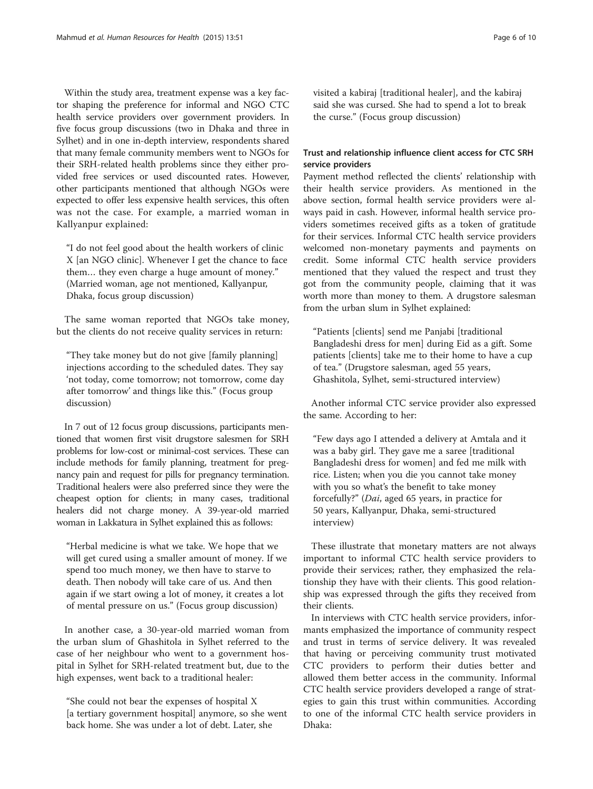Within the study area, treatment expense was a key factor shaping the preference for informal and NGO CTC health service providers over government providers. In five focus group discussions (two in Dhaka and three in Sylhet) and in one in-depth interview, respondents shared that many female community members went to NGOs for their SRH-related health problems since they either provided free services or used discounted rates. However, other participants mentioned that although NGOs were expected to offer less expensive health services, this often was not the case. For example, a married woman in Kallyanpur explained:

"I do not feel good about the health workers of clinic X [an NGO clinic]. Whenever I get the chance to face them… they even charge a huge amount of money." (Married woman, age not mentioned, Kallyanpur, Dhaka, focus group discussion)

The same woman reported that NGOs take money, but the clients do not receive quality services in return:

"They take money but do not give [family planning] injections according to the scheduled dates. They say 'not today, come tomorrow; not tomorrow, come day after tomorrow' and things like this." (Focus group discussion)

In 7 out of 12 focus group discussions, participants mentioned that women first visit drugstore salesmen for SRH problems for low-cost or minimal-cost services. These can include methods for family planning, treatment for pregnancy pain and request for pills for pregnancy termination. Traditional healers were also preferred since they were the cheapest option for clients; in many cases, traditional healers did not charge money. A 39-year-old married woman in Lakkatura in Sylhet explained this as follows:

"Herbal medicine is what we take. We hope that we will get cured using a smaller amount of money. If we spend too much money, we then have to starve to death. Then nobody will take care of us. And then again if we start owing a lot of money, it creates a lot of mental pressure on us." (Focus group discussion)

In another case, a 30-year-old married woman from the urban slum of Ghashitola in Sylhet referred to the case of her neighbour who went to a government hospital in Sylhet for SRH-related treatment but, due to the high expenses, went back to a traditional healer:

"She could not bear the expenses of hospital X [a tertiary government hospital] anymore, so she went back home. She was under a lot of debt. Later, she

visited a kabiraj [traditional healer], and the kabiraj said she was cursed. She had to spend a lot to break the curse." (Focus group discussion)

# Trust and relationship influence client access for CTC SRH service providers

Payment method reflected the clients' relationship with their health service providers. As mentioned in the above section, formal health service providers were always paid in cash. However, informal health service providers sometimes received gifts as a token of gratitude for their services. Informal CTC health service providers welcomed non-monetary payments and payments on credit. Some informal CTC health service providers mentioned that they valued the respect and trust they got from the community people, claiming that it was worth more than money to them. A drugstore salesman from the urban slum in Sylhet explained:

"Patients [clients] send me Panjabi [traditional Bangladeshi dress for men] during Eid as a gift. Some patients [clients] take me to their home to have a cup of tea." (Drugstore salesman, aged 55 years, Ghashitola, Sylhet, semi-structured interview)

Another informal CTC service provider also expressed the same. According to her:

"Few days ago I attended a delivery at Amtala and it was a baby girl. They gave me a saree [traditional Bangladeshi dress for women] and fed me milk with rice. Listen; when you die you cannot take money with you so what's the benefit to take money forcefully?" (Dai, aged 65 years, in practice for 50 years, Kallyanpur, Dhaka, semi-structured interview)

These illustrate that monetary matters are not always important to informal CTC health service providers to provide their services; rather, they emphasized the relationship they have with their clients. This good relationship was expressed through the gifts they received from their clients.

In interviews with CTC health service providers, informants emphasized the importance of community respect and trust in terms of service delivery. It was revealed that having or perceiving community trust motivated CTC providers to perform their duties better and allowed them better access in the community. Informal CTC health service providers developed a range of strategies to gain this trust within communities. According to one of the informal CTC health service providers in Dhaka: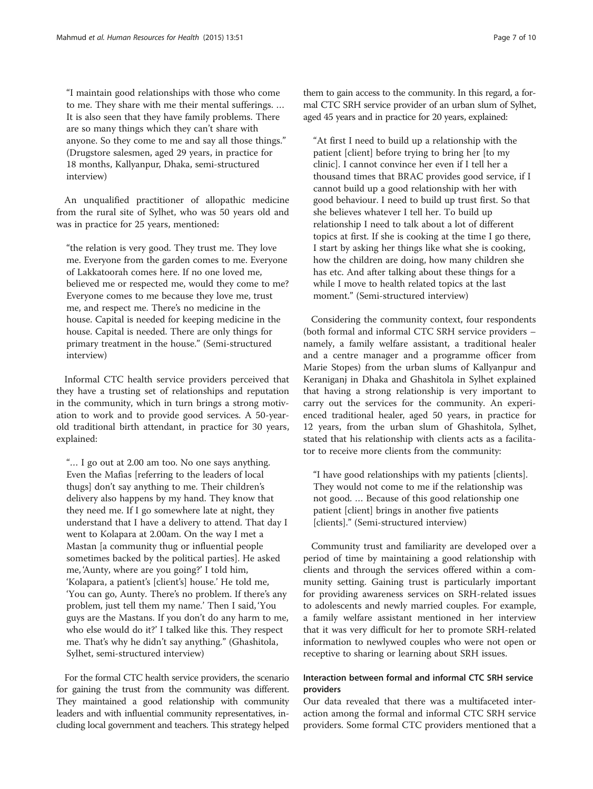"I maintain good relationships with those who come to me. They share with me their mental sufferings. … It is also seen that they have family problems. There are so many things which they can't share with anyone. So they come to me and say all those things." (Drugstore salesmen, aged 29 years, in practice for 18 months, Kallyanpur, Dhaka, semi-structured interview)

An unqualified practitioner of allopathic medicine from the rural site of Sylhet, who was 50 years old and was in practice for 25 years, mentioned:

"the relation is very good. They trust me. They love me. Everyone from the garden comes to me. Everyone of Lakkatoorah comes here. If no one loved me, believed me or respected me, would they come to me? Everyone comes to me because they love me, trust me, and respect me. There's no medicine in the house. Capital is needed for keeping medicine in the house. Capital is needed. There are only things for primary treatment in the house." (Semi-structured interview)

Informal CTC health service providers perceived that they have a trusting set of relationships and reputation in the community, which in turn brings a strong motivation to work and to provide good services. A 50-yearold traditional birth attendant, in practice for 30 years, explained:

"… I go out at 2.00 am too. No one says anything. Even the Mafias [referring to the leaders of local thugs] don't say anything to me. Their children's delivery also happens by my hand. They know that they need me. If I go somewhere late at night, they understand that I have a delivery to attend. That day I went to Kolapara at 2.00am. On the way I met a Mastan [a community thug or influential people sometimes backed by the political parties]. He asked me, 'Aunty, where are you going?' I told him, 'Kolapara, a patient's [client's] house.' He told me, 'You can go, Aunty. There's no problem. If there's any problem, just tell them my name.' Then I said, 'You guys are the Mastans. If you don't do any harm to me, who else would do it?' I talked like this. They respect me. That's why he didn't say anything." (Ghashitola, Sylhet, semi-structured interview)

For the formal CTC health service providers, the scenario for gaining the trust from the community was different. They maintained a good relationship with community leaders and with influential community representatives, including local government and teachers. This strategy helped them to gain access to the community. In this regard, a formal CTC SRH service provider of an urban slum of Sylhet, aged 45 years and in practice for 20 years, explained:

"At first I need to build up a relationship with the patient [client] before trying to bring her [to my clinic]. I cannot convince her even if I tell her a thousand times that BRAC provides good service, if I cannot build up a good relationship with her with good behaviour. I need to build up trust first. So that she believes whatever I tell her. To build up relationship I need to talk about a lot of different topics at first. If she is cooking at the time I go there, I start by asking her things like what she is cooking, how the children are doing, how many children she has etc. And after talking about these things for a while I move to health related topics at the last moment." (Semi-structured interview)

Considering the community context, four respondents (both formal and informal CTC SRH service providers – namely, a family welfare assistant, a traditional healer and a centre manager and a programme officer from Marie Stopes) from the urban slums of Kallyanpur and Keraniganj in Dhaka and Ghashitola in Sylhet explained that having a strong relationship is very important to carry out the services for the community. An experienced traditional healer, aged 50 years, in practice for 12 years, from the urban slum of Ghashitola, Sylhet, stated that his relationship with clients acts as a facilitator to receive more clients from the community:

"I have good relationships with my patients [clients]. They would not come to me if the relationship was not good. … Because of this good relationship one patient [client] brings in another five patients [clients]." (Semi-structured interview)

Community trust and familiarity are developed over a period of time by maintaining a good relationship with clients and through the services offered within a community setting. Gaining trust is particularly important for providing awareness services on SRH-related issues to adolescents and newly married couples. For example, a family welfare assistant mentioned in her interview that it was very difficult for her to promote SRH-related information to newlywed couples who were not open or receptive to sharing or learning about SRH issues.

# Interaction between formal and informal CTC SRH service providers

Our data revealed that there was a multifaceted interaction among the formal and informal CTC SRH service providers. Some formal CTC providers mentioned that a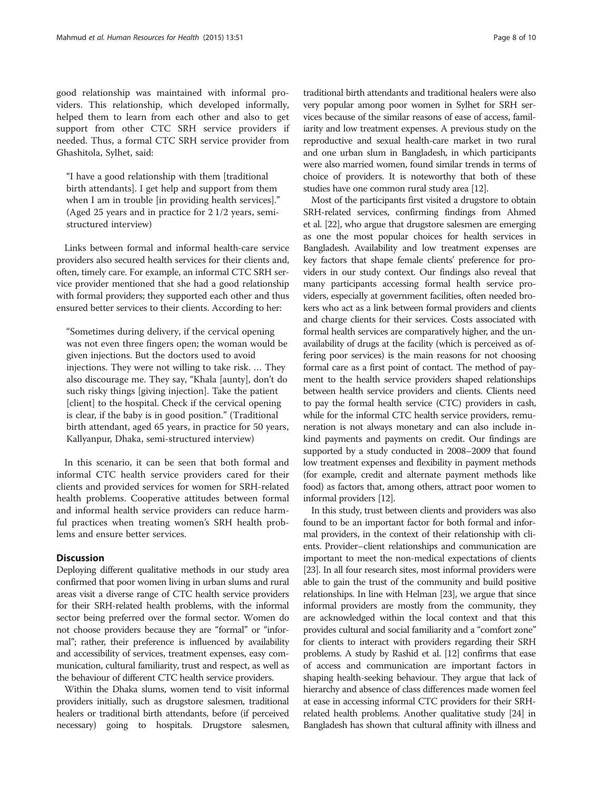good relationship was maintained with informal providers. This relationship, which developed informally, helped them to learn from each other and also to get support from other CTC SRH service providers if needed. Thus, a formal CTC SRH service provider from Ghashitola, Sylhet, said:

"I have a good relationship with them [traditional birth attendants]. I get help and support from them when I am in trouble [in providing health services]." (Aged 25 years and in practice for 2 1/2 years, semistructured interview)

Links between formal and informal health-care service providers also secured health services for their clients and, often, timely care. For example, an informal CTC SRH service provider mentioned that she had a good relationship with formal providers; they supported each other and thus ensured better services to their clients. According to her:

"Sometimes during delivery, if the cervical opening was not even three fingers open; the woman would be given injections. But the doctors used to avoid injections. They were not willing to take risk. … They also discourage me. They say, "Khala [aunty], don't do such risky things [giving injection]. Take the patient [client] to the hospital. Check if the cervical opening is clear, if the baby is in good position." (Traditional birth attendant, aged 65 years, in practice for 50 years, Kallyanpur, Dhaka, semi-structured interview)

In this scenario, it can be seen that both formal and informal CTC health service providers cared for their clients and provided services for women for SRH-related health problems. Cooperative attitudes between formal and informal health service providers can reduce harmful practices when treating women's SRH health problems and ensure better services.

# **Discussion**

Deploying different qualitative methods in our study area confirmed that poor women living in urban slums and rural areas visit a diverse range of CTC health service providers for their SRH-related health problems, with the informal sector being preferred over the formal sector. Women do not choose providers because they are "formal" or "informal"; rather, their preference is influenced by availability and accessibility of services, treatment expenses, easy communication, cultural familiarity, trust and respect, as well as the behaviour of different CTC health service providers.

Within the Dhaka slums, women tend to visit informal providers initially, such as drugstore salesmen, traditional healers or traditional birth attendants, before (if perceived necessary) going to hospitals. Drugstore salesmen,

traditional birth attendants and traditional healers were also very popular among poor women in Sylhet for SRH services because of the similar reasons of ease of access, familiarity and low treatment expenses. A previous study on the reproductive and sexual health-care market in two rural and one urban slum in Bangladesh, in which participants were also married women, found similar trends in terms of choice of providers. It is noteworthy that both of these studies have one common rural study area [\[12\]](#page-9-0).

Most of the participants first visited a drugstore to obtain SRH-related services, confirming findings from Ahmed et al. [\[22\]](#page-9-0), who argue that drugstore salesmen are emerging as one the most popular choices for health services in Bangladesh. Availability and low treatment expenses are key factors that shape female clients' preference for providers in our study context. Our findings also reveal that many participants accessing formal health service providers, especially at government facilities, often needed brokers who act as a link between formal providers and clients and charge clients for their services. Costs associated with formal health services are comparatively higher, and the unavailability of drugs at the facility (which is perceived as offering poor services) is the main reasons for not choosing formal care as a first point of contact. The method of payment to the health service providers shaped relationships between health service providers and clients. Clients need to pay the formal health service (CTC) providers in cash, while for the informal CTC health service providers, remuneration is not always monetary and can also include inkind payments and payments on credit. Our findings are supported by a study conducted in 2008–2009 that found low treatment expenses and flexibility in payment methods (for example, credit and alternate payment methods like food) as factors that, among others, attract poor women to informal providers [[12](#page-9-0)].

In this study, trust between clients and providers was also found to be an important factor for both formal and informal providers, in the context of their relationship with clients. Provider–client relationships and communication are important to meet the non-medical expectations of clients [[23](#page-9-0)]. In all four research sites, most informal providers were able to gain the trust of the community and build positive relationships. In line with Helman [\[23](#page-9-0)], we argue that since informal providers are mostly from the community, they are acknowledged within the local context and that this provides cultural and social familiarity and a "comfort zone" for clients to interact with providers regarding their SRH problems. A study by Rashid et al. [\[12\]](#page-9-0) confirms that ease of access and communication are important factors in shaping health-seeking behaviour. They argue that lack of hierarchy and absence of class differences made women feel at ease in accessing informal CTC providers for their SRHrelated health problems. Another qualitative study [\[24\]](#page-9-0) in Bangladesh has shown that cultural affinity with illness and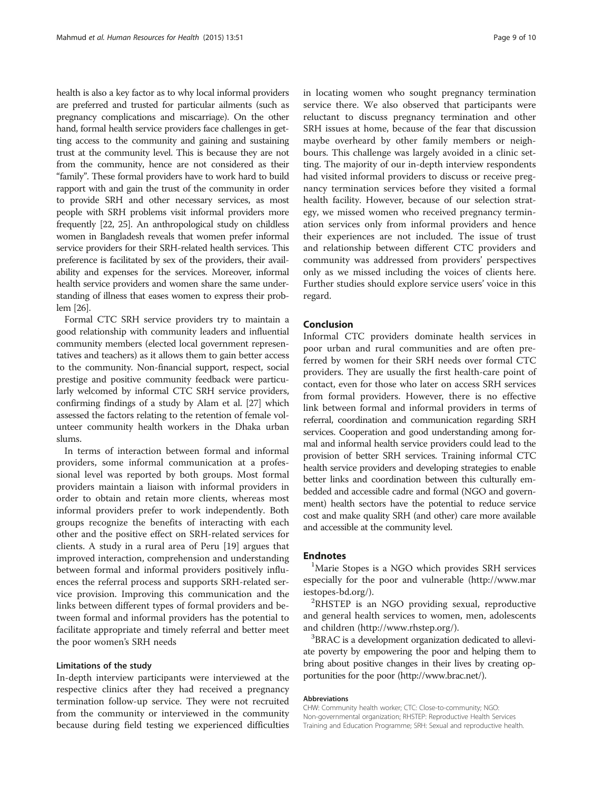health is also a key factor as to why local informal providers are preferred and trusted for particular ailments (such as pregnancy complications and miscarriage). On the other hand, formal health service providers face challenges in getting access to the community and gaining and sustaining trust at the community level. This is because they are not from the community, hence are not considered as their "family". These formal providers have to work hard to build rapport with and gain the trust of the community in order to provide SRH and other necessary services, as most people with SRH problems visit informal providers more frequently [\[22, 25](#page-9-0)]. An anthropological study on childless women in Bangladesh reveals that women prefer informal service providers for their SRH-related health services. This preference is facilitated by sex of the providers, their availability and expenses for the services. Moreover, informal health service providers and women share the same understanding of illness that eases women to express their problem [\[26](#page-9-0)].

Formal CTC SRH service providers try to maintain a good relationship with community leaders and influential community members (elected local government representatives and teachers) as it allows them to gain better access to the community. Non-financial support, respect, social prestige and positive community feedback were particularly welcomed by informal CTC SRH service providers, confirming findings of a study by Alam et al. [\[27\]](#page-9-0) which assessed the factors relating to the retention of female volunteer community health workers in the Dhaka urban slums.

In terms of interaction between formal and informal providers, some informal communication at a professional level was reported by both groups. Most formal providers maintain a liaison with informal providers in order to obtain and retain more clients, whereas most informal providers prefer to work independently. Both groups recognize the benefits of interacting with each other and the positive effect on SRH-related services for clients. A study in a rural area of Peru [[19](#page-9-0)] argues that improved interaction, comprehension and understanding between formal and informal providers positively influences the referral process and supports SRH-related service provision. Improving this communication and the links between different types of formal providers and between formal and informal providers has the potential to facilitate appropriate and timely referral and better meet the poor women's SRH needs

## Limitations of the study

In-depth interview participants were interviewed at the respective clinics after they had received a pregnancy termination follow-up service. They were not recruited from the community or interviewed in the community because during field testing we experienced difficulties in locating women who sought pregnancy termination service there. We also observed that participants were reluctant to discuss pregnancy termination and other SRH issues at home, because of the fear that discussion maybe overheard by other family members or neighbours. This challenge was largely avoided in a clinic setting. The majority of our in-depth interview respondents had visited informal providers to discuss or receive pregnancy termination services before they visited a formal health facility. However, because of our selection strategy, we missed women who received pregnancy termination services only from informal providers and hence their experiences are not included. The issue of trust and relationship between different CTC providers and community was addressed from providers' perspectives only as we missed including the voices of clients here. Further studies should explore service users' voice in this regard.

# Conclusion

Informal CTC providers dominate health services in poor urban and rural communities and are often preferred by women for their SRH needs over formal CTC providers. They are usually the first health-care point of contact, even for those who later on access SRH services from formal providers. However, there is no effective link between formal and informal providers in terms of referral, coordination and communication regarding SRH services. Cooperation and good understanding among formal and informal health service providers could lead to the provision of better SRH services. Training informal CTC health service providers and developing strategies to enable better links and coordination between this culturally embedded and accessible cadre and formal (NGO and government) health sectors have the potential to reduce service cost and make quality SRH (and other) care more available and accessible at the community level.

# **Endnotes**

Marie Stopes is a NGO which provides SRH services especially for the poor and vulnerable (http://www.mar iestopes-bd.org/).

<sup>2</sup>RHSTEP is an NGO providing sexual, reproductive and general health services to women, men, adolescents and children (http://www.rhstep.org/). <sup>3</sup>

<sup>3</sup>BRAC is a development organization dedicated to alleviate poverty by empowering the poor and helping them to bring about positive changes in their lives by creating opportunities for the poor (http://www.brac.net/).

#### Abbreviations

CHW: Community health worker; CTC: Close-to-community; NGO: Non-governmental organization; RHSTEP: Reproductive Health Services Training and Education Programme; SRH: Sexual and reproductive health.